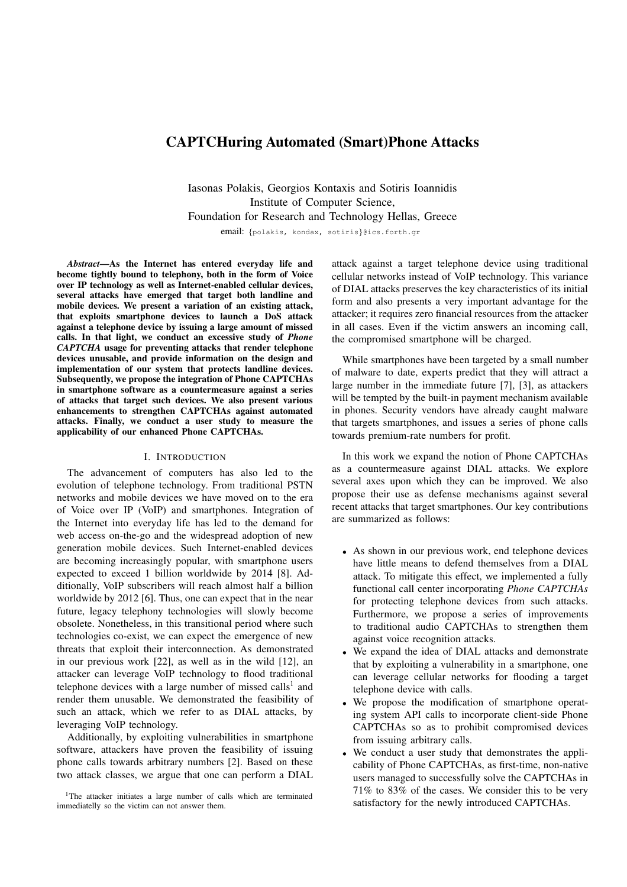# **CAPTCHuring Automated (Smart)Phone Attacks**

Iasonas Polakis, Georgios Kontaxis and Sotiris Ioannidis Institute of Computer Science, Foundation for Research and Technology Hellas, Greece email: {polakis, kondax, sotiris}@ics.forth.gr

*Abstract***—As the Internet has entered everyday life and become tightly bound to telephony, both in the form of Voice over IP technology as well as Internet-enabled cellular devices, several attacks have emerged that target both landline and mobile devices. We present a variation of an existing attack, that exploits smartphone devices to launch a DoS attack against a telephone device by issuing a large amount of missed calls. In that light, we conduct an excessive study of** *Phone CAPTCHA* **usage for preventing attacks that render telephone devices unusable, and provide information on the design and implementation of our system that protects landline devices. Subsequently, we propose the integration of Phone CAPTCHAs in smartphone software as a countermeasure against a series of attacks that target such devices. We also present various enhancements to strengthen CAPTCHAs against automated attacks. Finally, we conduct a user study to measure the applicability of our enhanced Phone CAPTCHAs.**

# I. INTRODUCTION

The advancement of computers has also led to the evolution of telephone technology. From traditional PSTN networks and mobile devices we have moved on to the era of Voice over IP (VoIP) and smartphones. Integration of the Internet into everyday life has led to the demand for web access on-the-go and the widespread adoption of new generation mobile devices. Such Internet-enabled devices are becoming increasingly popular, with smartphone users expected to exceed 1 billion worldwide by 2014 [8]. Additionally, VoIP subscribers will reach almost half a billion worldwide by 2012 [6]. Thus, one can expect that in the near future, legacy telephony technologies will slowly become obsolete. Nonetheless, in this transitional period where such technologies co-exist, we can expect the emergence of new threats that exploit their interconnection. As demonstrated in our previous work [22], as well as in the wild [12], an attacker can leverage VoIP technology to flood traditional telephone devices with a large number of missed calls<sup>1</sup> and render them unusable. We demonstrated the feasibility of such an attack, which we refer to as DIAL attacks, by leveraging VoIP technology.

Additionally, by exploiting vulnerabilities in smartphone software, attackers have proven the feasibility of issuing phone calls towards arbitrary numbers [2]. Based on these two attack classes, we argue that one can perform a DIAL

attack against a target telephone device using traditional cellular networks instead of VoIP technology. This variance of DIAL attacks preserves the key characteristics of its initial form and also presents a very important advantage for the attacker; it requires zero financial resources from the attacker in all cases. Even if the victim answers an incoming call, the compromised smartphone will be charged.

While smartphones have been targeted by a small number of malware to date, experts predict that they will attract a large number in the immediate future [7], [3], as attackers will be tempted by the built-in payment mechanism available in phones. Security vendors have already caught malware that targets smartphones, and issues a series of phone calls towards premium-rate numbers for profit.

In this work we expand the notion of Phone CAPTCHAs as a countermeasure against DIAL attacks. We explore several axes upon which they can be improved. We also propose their use as defense mechanisms against several recent attacks that target smartphones. Our key contributions are summarized as follows:

- As shown in our previous work, end telephone devices have little means to defend themselves from a DIAL attack. To mitigate this effect, we implemented a fully functional call center incorporating *Phone CAPTCHAs* for protecting telephone devices from such attacks. Furthermore, we propose a series of improvements to traditional audio CAPTCHAs to strengthen them against voice recognition attacks.
- We expand the idea of DIAL attacks and demonstrate that by exploiting a vulnerability in a smartphone, one can leverage cellular networks for flooding a target telephone device with calls.
- We propose the modification of smartphone operating system API calls to incorporate client-side Phone CAPTCHAs so as to prohibit compromised devices from issuing arbitrary calls.
- We conduct a user study that demonstrates the applicability of Phone CAPTCHAs, as first-time, non-native users managed to successfully solve the CAPTCHAs in 71% to 83% of the cases. We consider this to be very satisfactory for the newly introduced CAPTCHAs.

<sup>&</sup>lt;sup>1</sup>The attacker initiates a large number of calls which are terminated immediatelly so the victim can not answer them.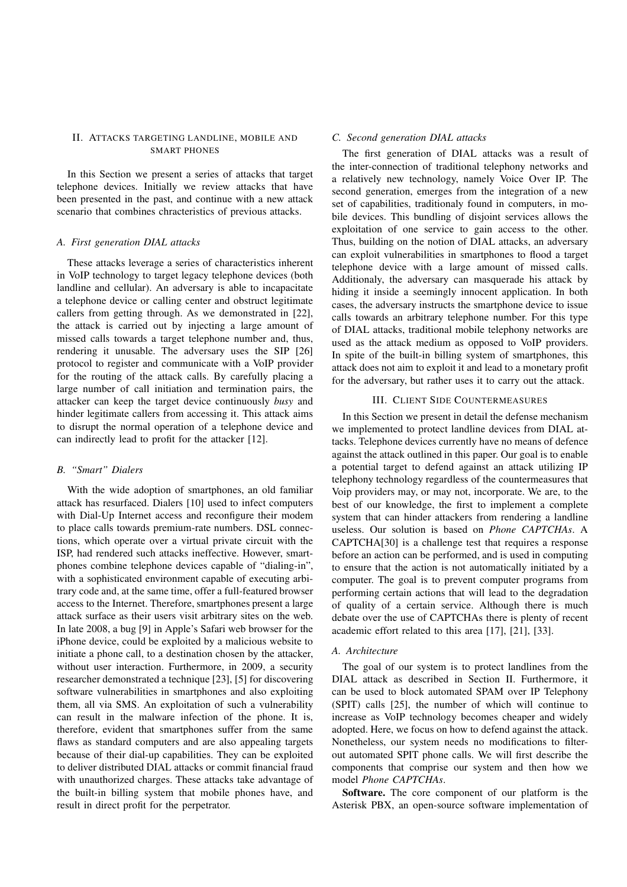# II. ATTACKS TARGETING LANDLINE, MOBILE AND SMART PHONES

In this Section we present a series of attacks that target telephone devices. Initially we review attacks that have been presented in the past, and continue with a new attack scenario that combines chracteristics of previous attacks.

# *A. First generation DIAL attacks*

These attacks leverage a series of characteristics inherent in VoIP technology to target legacy telephone devices (both landline and cellular). An adversary is able to incapacitate a telephone device or calling center and obstruct legitimate callers from getting through. As we demonstrated in [22], the attack is carried out by injecting a large amount of missed calls towards a target telephone number and, thus, rendering it unusable. The adversary uses the SIP [26] protocol to register and communicate with a VoIP provider for the routing of the attack calls. By carefully placing a large number of call initiation and termination pairs, the attacker can keep the target device continuously *busy* and hinder legitimate callers from accessing it. This attack aims to disrupt the normal operation of a telephone device and can indirectly lead to profit for the attacker [12].

# *B. "Smart" Dialers*

With the wide adoption of smartphones, an old familiar attack has resurfaced. Dialers [10] used to infect computers with Dial-Up Internet access and reconfigure their modem to place calls towards premium-rate numbers. DSL connections, which operate over a virtual private circuit with the ISP, had rendered such attacks ineffective. However, smartphones combine telephone devices capable of "dialing-in", with a sophisticated environment capable of executing arbitrary code and, at the same time, offer a full-featured browser access to the Internet. Therefore, smartphones present a large attack surface as their users visit arbitrary sites on the web. In late 2008, a bug [9] in Apple's Safari web browser for the iPhone device, could be exploited by a malicious website to initiate a phone call, to a destination chosen by the attacker, without user interaction. Furthermore, in 2009, a security researcher demonstrated a technique [23], [5] for discovering software vulnerabilities in smartphones and also exploiting them, all via SMS. An exploitation of such a vulnerability can result in the malware infection of the phone. It is, therefore, evident that smartphones suffer from the same flaws as standard computers and are also appealing targets because of their dial-up capabilities. They can be exploited to deliver distributed DIAL attacks or commit financial fraud with unauthorized charges. These attacks take advantage of the built-in billing system that mobile phones have, and result in direct profit for the perpetrator.

### *C. Second generation DIAL attacks*

The first generation of DIAL attacks was a result of the inter-connection of traditional telephony networks and a relatively new technology, namely Voice Over IP. The second generation, emerges from the integration of a new set of capabilities, traditionaly found in computers, in mobile devices. This bundling of disjoint services allows the exploitation of one service to gain access to the other. Thus, building on the notion of DIAL attacks, an adversary can exploit vulnerabilities in smartphones to flood a target telephone device with a large amount of missed calls. Additionaly, the adversary can masquerade his attack by hiding it inside a seemingly innocent application. In both cases, the adversary instructs the smartphone device to issue calls towards an arbitrary telephone number. For this type of DIAL attacks, traditional mobile telephony networks are used as the attack medium as opposed to VoIP providers. In spite of the built-in billing system of smartphones, this attack does not aim to exploit it and lead to a monetary profit for the adversary, but rather uses it to carry out the attack.

# III. CLIENT SIDE COUNTERMEASURES

In this Section we present in detail the defense mechanism we implemented to protect landline devices from DIAL attacks. Telephone devices currently have no means of defence against the attack outlined in this paper. Our goal is to enable a potential target to defend against an attack utilizing IP telephony technology regardless of the countermeasures that Voip providers may, or may not, incorporate. We are, to the best of our knowledge, the first to implement a complete system that can hinder attackers from rendering a landline useless. Our solution is based on *Phone CAPTCHAs*. A CAPTCHA[30] is a challenge test that requires a response before an action can be performed, and is used in computing to ensure that the action is not automatically initiated by a computer. The goal is to prevent computer programs from performing certain actions that will lead to the degradation of quality of a certain service. Although there is much debate over the use of CAPTCHAs there is plenty of recent academic effort related to this area [17], [21], [33].

### *A. Architecture*

The goal of our system is to protect landlines from the DIAL attack as described in Section II. Furthermore, it can be used to block automated SPAM over IP Telephony (SPIT) calls [25], the number of which will continue to increase as VoIP technology becomes cheaper and widely adopted. Here, we focus on how to defend against the attack. Nonetheless, our system needs no modifications to filterout automated SPIT phone calls. We will first describe the components that comprise our system and then how we model *Phone CAPTCHAs*.

**Software.** The core component of our platform is the Asterisk PBX, an open-source software implementation of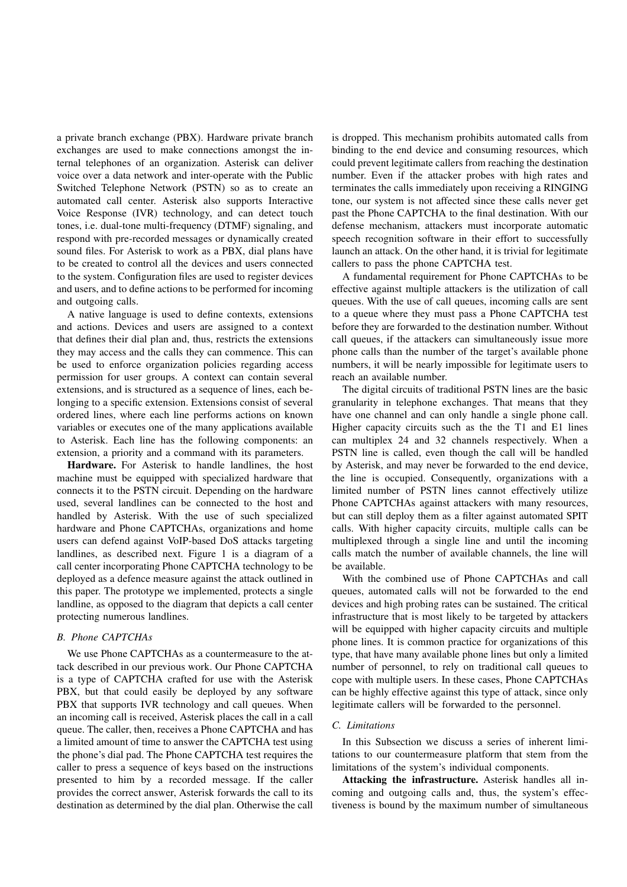a private branch exchange (PBX). Hardware private branch exchanges are used to make connections amongst the internal telephones of an organization. Asterisk can deliver voice over a data network and inter-operate with the Public Switched Telephone Network (PSTN) so as to create an automated call center. Asterisk also supports Interactive Voice Response (IVR) technology, and can detect touch tones, i.e. dual-tone multi-frequency (DTMF) signaling, and respond with pre-recorded messages or dynamically created sound files. For Asterisk to work as a PBX, dial plans have to be created to control all the devices and users connected to the system. Configuration files are used to register devices and users, and to define actions to be performed for incoming and outgoing calls.

A native language is used to define contexts, extensions and actions. Devices and users are assigned to a context that defines their dial plan and, thus, restricts the extensions they may access and the calls they can commence. This can be used to enforce organization policies regarding access permission for user groups. A context can contain several extensions, and is structured as a sequence of lines, each belonging to a specific extension. Extensions consist of several ordered lines, where each line performs actions on known variables or executes one of the many applications available to Asterisk. Each line has the following components: an extension, a priority and a command with its parameters.

Hardware. For Asterisk to handle landlines, the host machine must be equipped with specialized hardware that connects it to the PSTN circuit. Depending on the hardware used, several landlines can be connected to the host and handled by Asterisk. With the use of such specialized hardware and Phone CAPTCHAs, organizations and home users can defend against VoIP-based DoS attacks targeting landlines, as described next. Figure 1 is a diagram of a call center incorporating Phone CAPTCHA technology to be deployed as a defence measure against the attack outlined in this paper. The prototype we implemented, protects a single landline, as opposed to the diagram that depicts a call center protecting numerous landlines.

# *B. Phone CAPTCHAs*

We use Phone CAPTCHAs as a countermeasure to the attack described in our previous work. Our Phone CAPTCHA is a type of CAPTCHA crafted for use with the Asterisk PBX, but that could easily be deployed by any software PBX that supports IVR technology and call queues. When an incoming call is received, Asterisk places the call in a call queue. The caller, then, receives a Phone CAPTCHA and has a limited amount of time to answer the CAPTCHA test using the phone's dial pad. The Phone CAPTCHA test requires the caller to press a sequence of keys based on the instructions presented to him by a recorded message. If the caller provides the correct answer, Asterisk forwards the call to its destination as determined by the dial plan. Otherwise the call

is dropped. This mechanism prohibits automated calls from binding to the end device and consuming resources, which could prevent legitimate callers from reaching the destination number. Even if the attacker probes with high rates and terminates the calls immediately upon receiving a RINGING tone, our system is not affected since these calls never get past the Phone CAPTCHA to the final destination. With our defense mechanism, attackers must incorporate automatic speech recognition software in their effort to successfully launch an attack. On the other hand, it is trivial for legitimate callers to pass the phone CAPTCHA test.

A fundamental requirement for Phone CAPTCHAs to be effective against multiple attackers is the utilization of call queues. With the use of call queues, incoming calls are sent to a queue where they must pass a Phone CAPTCHA test before they are forwarded to the destination number. Without call queues, if the attackers can simultaneously issue more phone calls than the number of the target's available phone numbers, it will be nearly impossible for legitimate users to reach an available number.

The digital circuits of traditional PSTN lines are the basic granularity in telephone exchanges. That means that they have one channel and can only handle a single phone call. Higher capacity circuits such as the the T1 and E1 lines can multiplex 24 and 32 channels respectively. When a PSTN line is called, even though the call will be handled by Asterisk, and may never be forwarded to the end device, the line is occupied. Consequently, organizations with a limited number of PSTN lines cannot effectively utilize Phone CAPTCHAs against attackers with many resources, but can still deploy them as a filter against automated SPIT calls. With higher capacity circuits, multiple calls can be multiplexed through a single line and until the incoming calls match the number of available channels, the line will be available.

With the combined use of Phone CAPTCHAs and call queues, automated calls will not be forwarded to the end devices and high probing rates can be sustained. The critical infrastructure that is most likely to be targeted by attackers will be equipped with higher capacity circuits and multiple phone lines. It is common practice for organizations of this type, that have many available phone lines but only a limited number of personnel, to rely on traditional call queues to cope with multiple users. In these cases, Phone CAPTCHAs can be highly effective against this type of attack, since only legitimate callers will be forwarded to the personnel.

### *C. Limitations*

In this Subsection we discuss a series of inherent limitations to our countermeasure platform that stem from the limitations of the system's individual components.

**Attacking the infrastructure.** Asterisk handles all incoming and outgoing calls and, thus, the system's effectiveness is bound by the maximum number of simultaneous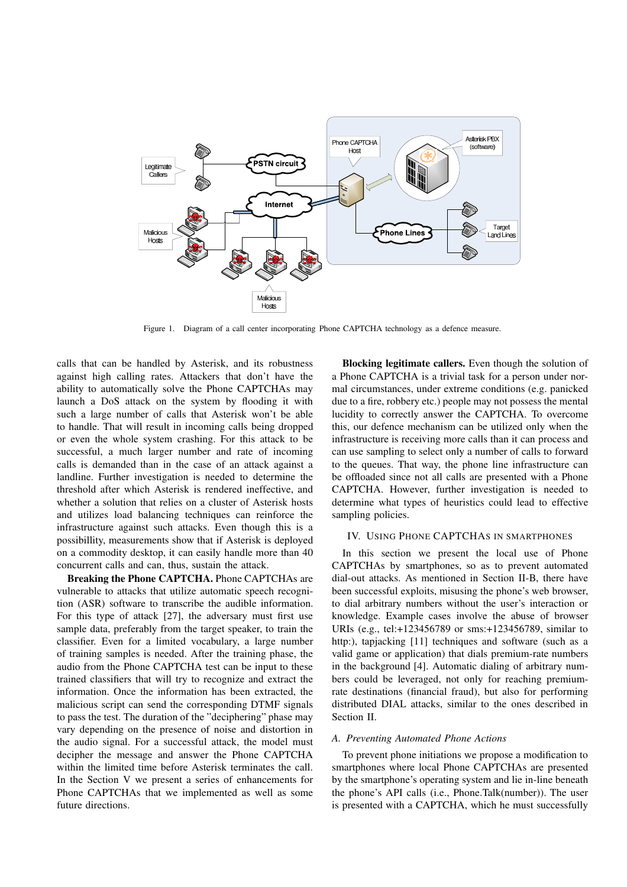

Figure 1. Diagram of a call center incorporating Phone CAPTCHA technology as a defence measure.

calls that can be handled by Asterisk, and its robustness against high calling rates. Attackers that don't have the ability to automatically solve the Phone CAPTCHAs may launch a DoS attack on the system by flooding it with such a large number of calls that Asterisk won't be able to handle. That will result in incoming calls being dropped or even the whole system crashing. For this attack to be successful, a much larger number and rate of incoming calls is demanded than in the case of an attack against a landline. Further investigation is needed to determine the threshold after which Asterisk is rendered ineffective, and whether a solution that relies on a cluster of Asterisk hosts and utilizes load balancing techniques can reinforce the infrastructure against such attacks. Even though this is a possibillity, measurements show that if Asterisk is deployed on a commodity desktop, it can easily handle more than 40 concurrent calls and can, thus, sustain the attack.

**Breaking the Phone CAPTCHA.** Phone CAPTCHAs are vulnerable to attacks that utilize automatic speech recognition (ASR) software to transcribe the audible information. For this type of attack [27], the adversary must first use sample data, preferably from the target speaker, to train the classifier. Even for a limited vocabulary, a large number of training samples is needed. After the training phase, the audio from the Phone CAPTCHA test can be input to these trained classifiers that will try to recognize and extract the information. Once the information has been extracted, the malicious script can send the corresponding DTMF signals to pass the test. The duration of the "deciphering" phase may vary depending on the presence of noise and distortion in the audio signal. For a successful attack, the model must decipher the message and answer the Phone CAPTCHA within the limited time before Asterisk terminates the call. In the Section V we present a series of enhancements for Phone CAPTCHAs that we implemented as well as some future directions.

**Blocking legitimate callers.** Even though the solution of a Phone CAPTCHA is a trivial task for a person under normal circumstances, under extreme conditions (e.g. panicked due to a fire, robbery etc.) people may not possess the mental lucidity to correctly answer the CAPTCHA. To overcome this, our defence mechanism can be utilized only when the infrastructure is receiving more calls than it can process and can use sampling to select only a number of calls to forward to the queues. That way, the phone line infrastructure can be offloaded since not all calls are presented with a Phone CAPTCHA. However, further investigation is needed to determine what types of heuristics could lead to effective sampling policies.

# IV. USING PHONE CAPTCHAS IN SMARTPHONES

In this section we present the local use of Phone CAPTCHAs by smartphones, so as to prevent automated dial-out attacks. As mentioned in Section II-B, there have been successful exploits, misusing the phone's web browser, to dial arbitrary numbers without the user's interaction or knowledge. Example cases involve the abuse of browser URIs (e.g., tel:+123456789 or sms:+123456789, similar to http:), tapjacking [11] techniques and software (such as a valid game or application) that dials premium-rate numbers in the background [4]. Automatic dialing of arbitrary numbers could be leveraged, not only for reaching premiumrate destinations (financial fraud), but also for performing distributed DIAL attacks, similar to the ones described in Section II.

### *A. Preventing Automated Phone Actions*

To prevent phone initiations we propose a modification to smartphones where local Phone CAPTCHAs are presented by the smartphone's operating system and lie in-line beneath the phone's API calls (i.e., Phone.Talk(number)). The user is presented with a CAPTCHA, which he must successfully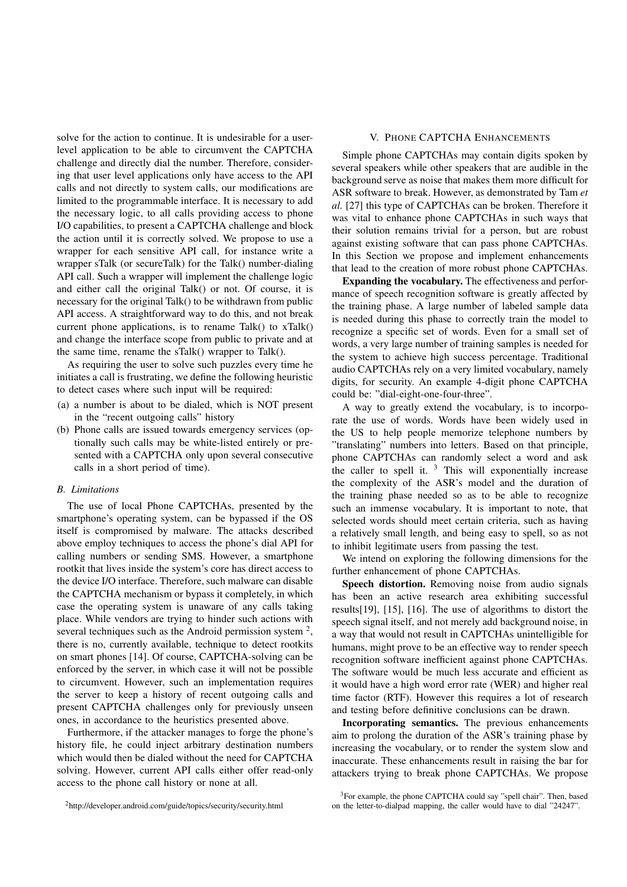solve for the action to continue. It is undesirable for a userlevel application to be able to circumvent the CAPTCHA challenge and directly dial the number. Therefore, considering that user level applications only have access to the API calls and not directly to system calls, our modifications are limited to the programmable interface. It is necessary to add the necessary logic, to all calls providing access to phone I/O capabilities, to present a CAPTCHA challenge and block the action until it is correctly solved. We propose to use a wrapper for each sensitive API call, for instance write a wrapper sTalk (or secureTalk) for the Talk() number-dialing API call. Such a wrapper will implement the challenge logic and either call the original Talk() or not. Of course, it is necessary for the original Talk() to be withdrawn from public API access. A straightforward way to do this, and not break current phone applications, is to rename Talk() to xTalk() and change the interface scope from public to private and at the same time, rename the sTalk() wrapper to Talk().

As requiring the user to solve such puzzles every time he initiates a call is frustrating, we define the following heuristic to detect cases where such input will be required:

- (a) a number is about to be dialed, which is NOT present in the "recent outgoing calls" history
- (b) Phone calls are issued towards emergency services (optionally such calls may be white-listed entirely or presented with a CAPTCHA only upon several consecutive calls in a short period of time).

# *B. Limitations*

The use of local Phone CAPTCHAs, presented by the smartphone's operating system, can be bypassed if the OS itself is compromised by malware. The attacks described above employ techniques to access the phone's dial API for calling numbers or sending SMS. However, a smartphone rootkit that lives inside the system's core has direct access to the device I/O interface. Therefore, such malware can disable the CAPTCHA mechanism or bypass it completely, in which case the operating system is unaware of any calls taking place. While vendors are trying to hinder such actions with several techniques such as the Android permission system  $2$ , there is no, currently available, technique to detect rootkits on smart phones [14]. Of course, CAPTCHA-solving can be enforced by the server, in which case it will not be possible to circumvent. However, such an implementation requires the server to keep a history of recent outgoing calls and present CAPTCHA challenges only for previously unseen ones, in accordance to the heuristics presented above.

Furthermore, if the attacker manages to forge the phone's history file, he could inject arbitrary destination numbers which would then be dialed without the need for CAPTCHA solving. However, current API calls either offer read-only access to the phone call history or none at all.

### V. PHONE CAPTCHA ENHANCEMENTS

Simple phone CAPTCHAs may contain digits spoken by several speakers while other speakers that are audible in the background serve as noise that makes them more difficult for ASR software to break. However, as demonstrated by Tam *et al.* [27] this type of CAPTCHAs can be broken. Therefore it was vital to enhance phone CAPTCHAs in such ways that their solution remains trivial for a person, but are robust against existing software that can pass phone CAPTCHAs. In this Section we propose and implement enhancements that lead to the creation of more robust phone CAPTCHAs.

**Expanding the vocabulary.** The effectiveness and performance of speech recognition software is greatly affected by the training phase. A large number of labeled sample data is needed during this phase to correctly train the model to recognize a specific set of words. Even for a small set of words, a very large number of training samples is needed for the system to achieve high success percentage. Traditional audio CAPTCHAs rely on a very limited vocabulary, namely digits, for security. An example 4-digit phone CAPTCHA could be: "dial-eight-one-four-three".

A way to greatly extend the vocabulary, is to incorporate the use of words. Words have been widely used in the US to help people memorize telephone numbers by "translating" numbers into letters. Based on that principle, phone CAPTCHAs can randomly select a word and ask the caller to spell it.  $3$  This will exponentially increase the complexity of the ASR's model and the duration of the training phase needed so as to be able to recognize such an immense vocabulary. It is important to note, that selected words should meet certain criteria, such as having a relatively small length, and being easy to spell, so as not to inhibit legitimate users from passing the test.

We intend on exploring the following dimensions for the further enhancement of phone CAPTCHAs.

**Speech distortion.** Removing noise from audio signals has been an active research area exhibiting successful results[19], [15], [16]. The use of algorithms to distort the speech signal itself, and not merely add background noise, in a way that would not result in CAPTCHAs unintelligible for humans, might prove to be an effective way to render speech recognition software inefficient against phone CAPTCHAs. The software would be much less accurate and efficient as it would have a high word error rate (WER) and higher real time factor (RTF). However this requires a lot of research and testing before definitive conclusions can be drawn.

**Incorporating semantics.** The previous enhancements aim to prolong the duration of the ASR's training phase by increasing the vocabulary, or to render the system slow and inaccurate. These enhancements result in raising the bar for attackers trying to break phone CAPTCHAs. We propose

<sup>2</sup>http://developer.android.com/guide/topics/security/security.html

<sup>&</sup>lt;sup>3</sup>For example, the phone CAPTCHA could say "spell chair". Then, based on the letter-to-dialpad mapping, the caller would have to dial "24247".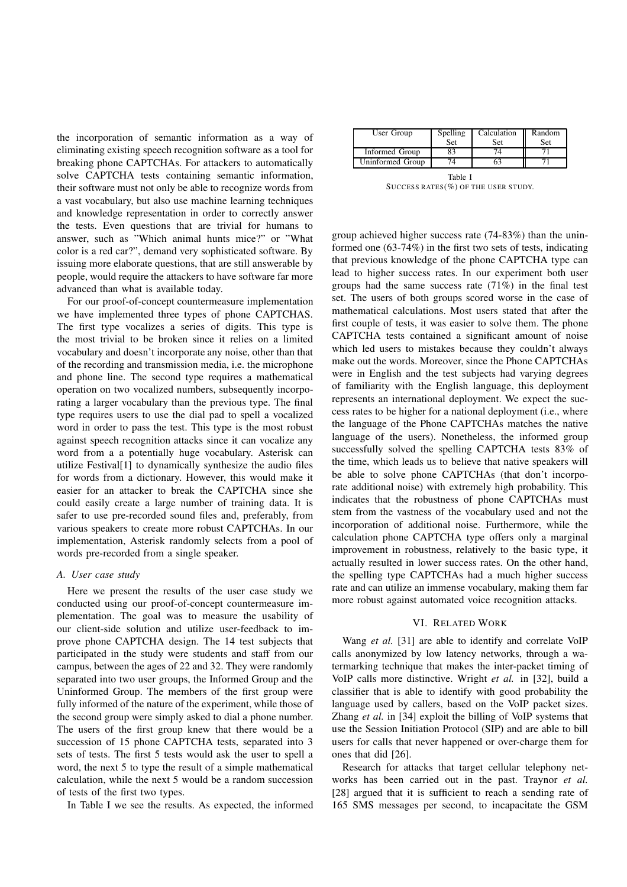the incorporation of semantic information as a way of eliminating existing speech recognition software as a tool for breaking phone CAPTCHAs. For attackers to automatically solve CAPTCHA tests containing semantic information, their software must not only be able to recognize words from a vast vocabulary, but also use machine learning techniques and knowledge representation in order to correctly answer the tests. Even questions that are trivial for humans to answer, such as "Which animal hunts mice?" or "What color is a red car?", demand very sophisticated software. By issuing more elaborate questions, that are still answerable by people, would require the attackers to have software far more advanced than what is available today.

For our proof-of-concept countermeasure implementation we have implemented three types of phone CAPTCHAS. The first type vocalizes a series of digits. This type is the most trivial to be broken since it relies on a limited vocabulary and doesn't incorporate any noise, other than that of the recording and transmission media, i.e. the microphone and phone line. The second type requires a mathematical operation on two vocalized numbers, subsequently incorporating a larger vocabulary than the previous type. The final type requires users to use the dial pad to spell a vocalized word in order to pass the test. This type is the most robust against speech recognition attacks since it can vocalize any word from a a potentially huge vocabulary. Asterisk can utilize Festival[1] to dynamically synthesize the audio files for words from a dictionary. However, this would make it easier for an attacker to break the CAPTCHA since she could easily create a large number of training data. It is safer to use pre-recorded sound files and, preferably, from various speakers to create more robust CAPTCHAs. In our implementation, Asterisk randomly selects from a pool of words pre-recorded from a single speaker.

### *A. User case study*

Here we present the results of the user case study we conducted using our proof-of-concept countermeasure implementation. The goal was to measure the usability of our client-side solution and utilize user-feedback to improve phone CAPTCHA design. The 14 test subjects that participated in the study were students and staff from our campus, between the ages of 22 and 32. They were randomly separated into two user groups, the Informed Group and the Uninformed Group. The members of the first group were fully informed of the nature of the experiment, while those of the second group were simply asked to dial a phone number. The users of the first group knew that there would be a succession of 15 phone CAPTCHA tests, separated into 3 sets of tests. The first 5 tests would ask the user to spell a word, the next 5 to type the result of a simple mathematical calculation, while the next 5 would be a random succession of tests of the first two types.

In Table I we see the results. As expected, the informed

| User Group       | Spelling | Calculation | Random |
|------------------|----------|-------------|--------|
|                  | Set      | Set         | Set    |
| Informed Group   |          |             |        |
| Uninformed Group |          |             |        |

Table I SUCCESS RATES(%) OF THE USER STUDY.

group achieved higher success rate (74-83%) than the uninformed one (63-74%) in the first two sets of tests, indicating that previous knowledge of the phone CAPTCHA type can lead to higher success rates. In our experiment both user groups had the same success rate (71%) in the final test set. The users of both groups scored worse in the case of mathematical calculations. Most users stated that after the first couple of tests, it was easier to solve them. The phone CAPTCHA tests contained a significant amount of noise which led users to mistakes because they couldn't always make out the words. Moreover, since the Phone CAPTCHAs were in English and the test subjects had varying degrees of familiarity with the English language, this deployment represents an international deployment. We expect the success rates to be higher for a national deployment (i.e., where the language of the Phone CAPTCHAs matches the native language of the users). Nonetheless, the informed group successfully solved the spelling CAPTCHA tests 83% of the time, which leads us to believe that native speakers will be able to solve phone CAPTCHAs (that don't incorporate additional noise) with extremely high probability. This indicates that the robustness of phone CAPTCHAs must stem from the vastness of the vocabulary used and not the incorporation of additional noise. Furthermore, while the calculation phone CAPTCHA type offers only a marginal improvement in robustness, relatively to the basic type, it actually resulted in lower success rates. On the other hand, the spelling type CAPTCHAs had a much higher success rate and can utilize an immense vocabulary, making them far more robust against automated voice recognition attacks.

#### VI. RELATED WORK

Wang *et al.* [31] are able to identify and correlate VoIP calls anonymized by low latency networks, through a watermarking technique that makes the inter-packet timing of VoIP calls more distinctive. Wright *et al.* in [32], build a classifier that is able to identify with good probability the language used by callers, based on the VoIP packet sizes. Zhang *et al.* in [34] exploit the billing of VoIP systems that use the Session Initiation Protocol (SIP) and are able to bill users for calls that never happened or over-charge them for ones that did [26].

Research for attacks that target cellular telephony networks has been carried out in the past. Traynor *et al.* [28] argued that it is sufficient to reach a sending rate of 165 SMS messages per second, to incapacitate the GSM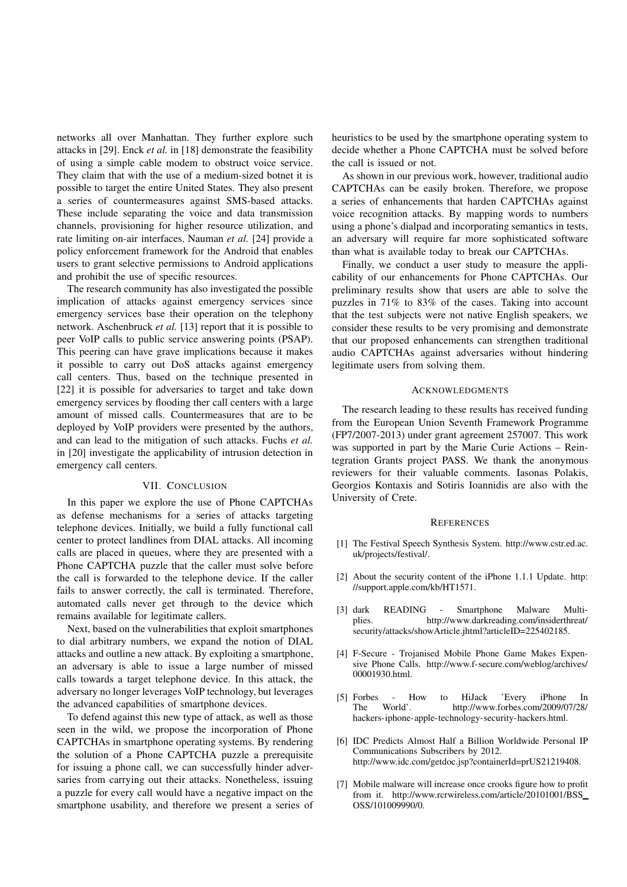networks all over Manhattan. They further explore such attacks in [29]. Enck *et al.* in [18] demonstrate the feasibility of using a simple cable modem to obstruct voice service. They claim that with the use of a medium-sized botnet it is possible to target the entire United States. They also present a series of countermeasures against SMS-based attacks. These include separating the voice and data transmission channels, provisioning for higher resource utilization, and rate limiting on-air interfaces. Nauman *et al.* [24] provide a policy enforcement framework for the Android that enables users to grant selective permissions to Android applications and prohibit the use of specific resources.

The research community has also investigated the possible implication of attacks against emergency services since emergency services base their operation on the telephony network. Aschenbruck *et al.* [13] report that it is possible to peer VoIP calls to public service answering points (PSAP). This peering can have grave implications because it makes it possible to carry out DoS attacks against emergency call centers. Thus, based on the technique presented in [22] it is possible for adversaries to target and take down emergency services by flooding ther call centers with a large amount of missed calls. Countermeasures that are to be deployed by VoIP providers were presented by the authors, and can lead to the mitigation of such attacks. Fuchs *et al.* in [20] investigate the applicability of intrusion detection in emergency call centers.

### VII. CONCLUSION

In this paper we explore the use of Phone CAPTCHAs as defense mechanisms for a series of attacks targeting telephone devices. Initially, we build a fully functional call center to protect landlines from DIAL attacks. All incoming calls are placed in queues, where they are presented with a Phone CAPTCHA puzzle that the caller must solve before the call is forwarded to the telephone device. If the caller fails to answer correctly, the call is terminated. Therefore, automated calls never get through to the device which remains available for legitimate callers.

Next, based on the vulnerabilities that exploit smartphones to dial arbitrary numbers, we expand the notion of DIAL attacks and outline a new attack. By exploiting a smartphone, an adversary is able to issue a large number of missed calls towards a target telephone device. In this attack, the adversary no longer leverages VoIP technology, but leverages the advanced capabilities of smartphone devices.

To defend against this new type of attack, as well as those seen in the wild, we propose the incorporation of Phone CAPTCHAs in smartphone operating systems. By rendering the solution of a Phone CAPTCHA puzzle a prerequisite for issuing a phone call, we can successfully hinder adversaries from carrying out their attacks. Nonetheless, issuing a puzzle for every call would have a negative impact on the smartphone usability, and therefore we present a series of heuristics to be used by the smartphone operating system to decide whether a Phone CAPTCHA must be solved before the call is issued or not.

As shown in our previous work, however, traditional audio CAPTCHAs can be easily broken. Therefore, we propose a series of enhancements that harden CAPTCHAs against voice recognition attacks. By mapping words to numbers using a phone's dialpad and incorporating semantics in tests, an adversary will require far more sophisticated software than what is available today to break our CAPTCHAs.

Finally, we conduct a user study to measure the applicability of our enhancements for Phone CAPTCHAs. Our preliminary results show that users are able to solve the puzzles in 71% to 83% of the cases. Taking into account that the test subjects were not native English speakers, we consider these results to be very promising and demonstrate that our proposed enhancements can strengthen traditional audio CAPTCHAs against adversaries without hindering legitimate users from solving them.

### ACKNOWLEDGMENTS

The research leading to these results has received funding from the European Union Seventh Framework Programme (FP7/2007-2013) under grant agreement 257007. This work was supported in part by the Marie Curie Actions – Reintegration Grants project PASS. We thank the anonymous reviewers for their valuable comments. Iasonas Polakis, Georgios Kontaxis and Sotiris Ioannidis are also with the University of Crete.

### **REFERENCES**

- [1] The Festival Speech Synthesis System. http://www.cstr.ed.ac. uk/projects/festival/.
- [2] About the security content of the iPhone 1.1.1 Update. http: //support.apple.com/kb/HT1571.
- [3] dark READING Smartphone Malware Multiplies. http://www.darkreading.com/insiderthreat/ security/attacks/showArticle.jhtml?articleID=225402185.
- [4] F-Secure Trojanised Mobile Phone Game Makes Expensive Phone Calls. http://www.f-secure.com/weblog/archives/ 00001930.html.
- [5] Forbes How to HiJack 'Every iPhone In The World'. http://www.forbes.com/2009/07/28/ hackers-iphone-apple-technology-security-hackers.html.
- [6] IDC Predicts Almost Half a Billion Worldwide Personal IP Communications Subscribers by 2012. http://www.idc.com/getdoc.jsp?containerId=prUS21219408.
- [7] Mobile malware will increase once crooks figure how to profit from it. http://www.rcrwireless.com/article/20101001/BSS OSS/101009990/0.